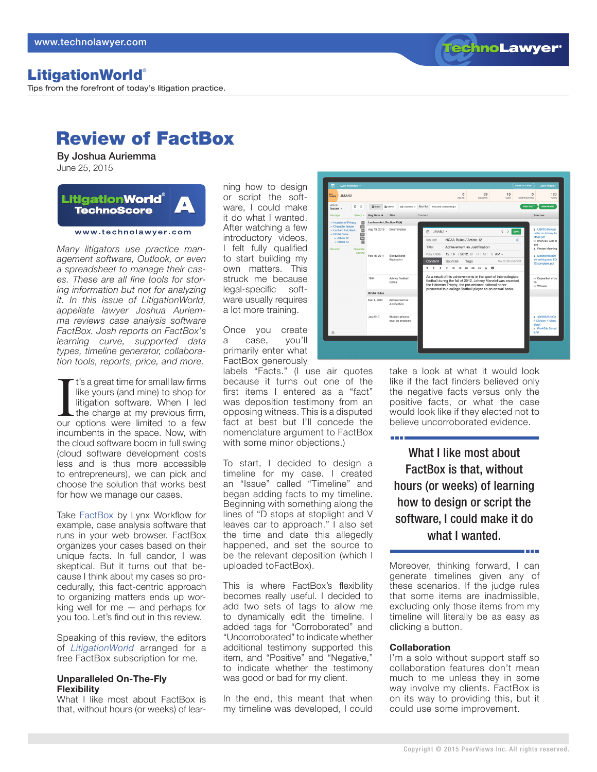**TechnoLawyer** 

# LitigationWorld®

Tips from the forefront of today's litigation practice.

# Review of FactBox

By Joshua Auriemma June 25, 2015

#### **LitigationWorld**<sup>®</sup>  $\blacktriangle$ **TechnoScore**

www.technolawyer.com

*Many litigators use practice management software, Outlook, or even a spreadsheet to manage their cases. These are all fine tools for storing information but not for analyzing it. In this issue of LitigationWorld, appellate lawyer Joshua Auriemma reviews case analysis software FactBox. Josh reports on FactBox's learning curve, supported data types, timeline generator, collaboration tools, reports, price, and more.*

I' t's a great time for small law firms<br>like yours (and mine) to shop for<br>litigation software. When I led<br>the charge at my previous firm,<br>our options were limited to a few t's a great time for small law firms like yours (and mine) to shop for litigation software. When I led  $L$  the charge at my previous firm, incumbents in the space. Now, with the cloud software boom in full swing (cloud software development costs less and is thus more accessible to entrepreneurs), we can pick and choose the solution that works best for how we manage our cases.

Take [FactBox](https://www.getfactbox.com) by Lynx Workflow for example, case analysis software that runs in your web browser. FactBox organizes your cases based on their unique facts. In full candor, I was skeptical. But it turns out that because I think about my cases so procedurally, this fact-centric approach to organizing matters ends up working well for me — and perhaps for you too. Let's find out in this review.

Speaking of this review, the editors of *[LitigationWorld](http://www.technolawyer.com/litigationworld.asp)* arranged for a free FactBox subscription for me.

### **Unparalleled On-The-Fly Flexibility**

What I like most about FactBox is that, without hours (or weeks) of learning how to design or script the software, I could make it do what I wanted. After watching a few introductory videos, I felt fully qualified to start building my own matters. This struck me because legal-specific software usually requires a lot more training.

Once you create a case, you'll primarily enter what FactBox generously

labels "Facts." (I use air quotes because it turns out one of the first items I entered as a "fact" was deposition testimony from an opposing witness. This is a disputed fact at best but I'll concede the nomenclature argument to FactBox with some minor objections.)

To start, I decided to design a timeline for my case. I created an "Issue" called "Timeline" and began adding facts to my timeline. Beginning with something along the lines of "D stops at stoplight and V leaves car to approach." I also set the time and date this allegedly happened, and set the source to be the relevant deposition (which I uploaded toFactBox).

This is where FactBox's flexibility becomes really useful. I decided to add two sets of tags to allow me to dynamically edit the timeline. I added tags for "Corroborated" and "Uncorroborated" to indicate whether additional testimony supported this item, and "Positive" and "Negative," to indicate whether the testimony was good or bad for my client.

In the end, this meant that when my timeline was developed, I could



take a look at what it would look like if the fact finders believed only the negative facts versus only the positive facts, or what the case would look like if they elected not to believe uncorroborated evidence.

What I like most about FactBox is that, without hours (or weeks) of learning how to design or script the software, I could make it do what I wanted.

Moreover, thinking forward, I can generate timelines given any of these scenarios. If the judge rules that some items are inadmissible, excluding only those items from my timeline will literally be as easy as clicking a button.

#### **Collaboration**

**TIME** 

I'm a solo without support staff so collaboration features don't mean much to me unless they in some way involve my clients. FactBox is on its way to providing this, but it could use some improvement.